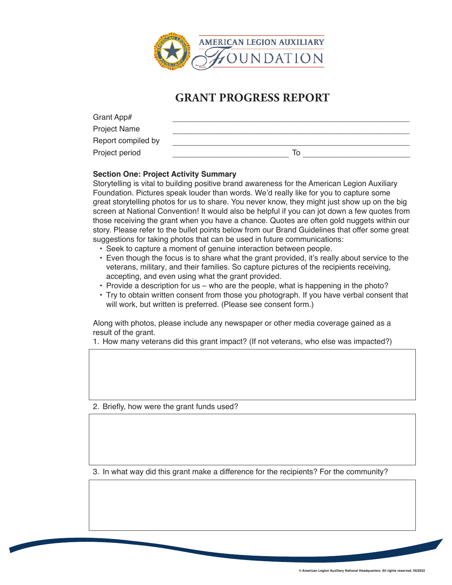

## **GRANT PROGRESS REPORT**

| Grant App#          |    |
|---------------------|----|
| <b>Project Name</b> |    |
| Report compiled by  |    |
| Project period      | 10 |

## **Section One: Project Activity Summary**

Storytelling is vital to building positive brand awareness for the American Legion Auxiliary Foundation. Pictures speak louder than words. We'd really like for you to capture some great storytelling photos for us to share. You never know, they might just show up on the big screen at National Convention! It would also be helpful if you can jot down a few quotes from those receiving the grant when you have a chance. Quotes are often gold nuggets within our story. Please refer to the bullet points below from our Brand Guidelines that offer some great suggestions for taking photos that can be used in future communications:

- Seek to capture a moment of genuine interaction between people.
- Even though the focus is to share what the grant provided, it's really about service to the veterans, military, and their families. So capture pictures of the recipients receiving, accepting, and even using what the grant provided.
- Provide a description for us who are the people, what is happening in the photo?
- Try to obtain written consent from those you photograph. If you have verbal consent that will work, but written is preferred. (Please see consent form.)

Along with photos, please include any newspaper or other media coverage gained as a result of the grant.

1. How many veterans did this grant impact? (If not veterans, who else was impacted?)

2. Briefly, how were the grant funds used?

3. In what way did this grant make a difference for the recipients? For the community?